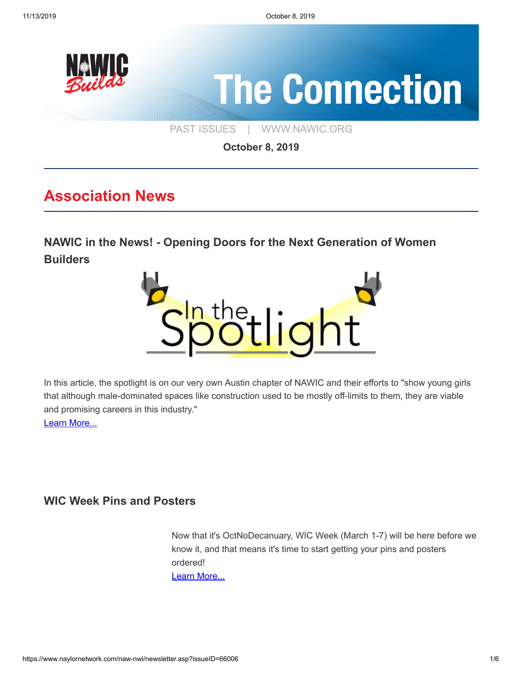

**October 8, 2019**

## **Association News**

**[NAWIC in the News! - Opening Doors for the Next Generation of Women](https://jobsite.procore.com/opening-doors-for-the-next-generation-of-women-builders/) Builders**



In this article, the spotlight is on our very own Austin chapter of NAWIC and their efforts to "show young girls that although male-dominated spaces like construction used to be mostly off-limits to them, they are viable and promising careers in this industry." [Learn More...](https://jobsite.procore.com/opening-doors-for-the-next-generation-of-women-builders/)

### **[WIC Week Pins and Posters](https://www.naylornetwork.com/naw-nwl/pdf/2020_WIC_Week_Pin_and_Poster_Order_Form.pdf)**

 Now that it's OctNoDecanuary, WIC Week (March 1-7) will be here before we know it, and that means it's time to start getting your pins and posters ordered! [Learn More...](https://www.naylornetwork.com/naw-nwl/pdf/2020_WIC_Week_Pin_and_Poster_Order_Form.pdf)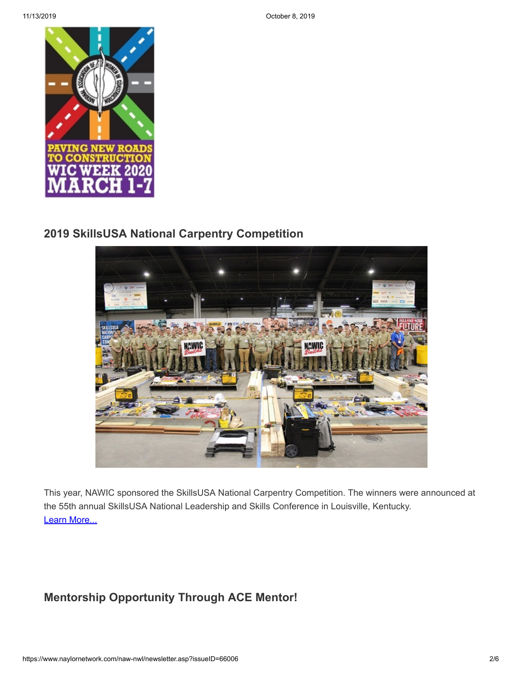

### **[2019 SkillsUSA National Carpentry Competition](https://www.nccer.org/news-research/newsroom/pressrelease/nccer-congratulates-the-2019-skillsusa-national-carpentry-and-masonry-competition-winners)**



This year, NAWIC sponsored the SkillsUSA National Carpentry Competition. The winners were announced at the 55th annual SkillsUSA National Leadership and Skills Conference in Louisville, Kentucky. [Learn More...](https://www.nccer.org/news-research/newsroom/pressrelease/nccer-congratulates-the-2019-skillsusa-national-carpentry-and-masonry-competition-winners)

### **[Mentorship Opportunity Through ACE Mentor!](https://www.acementor.org/)**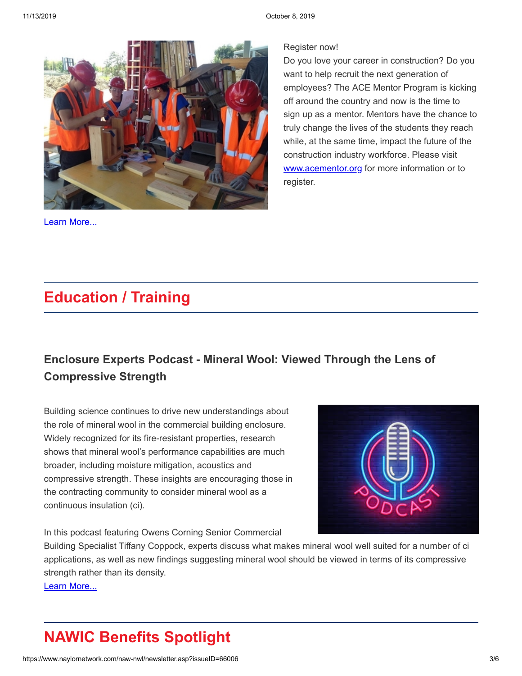

[Learn More...](https://www.acementor.org/)

#### Register now!

Do you love your career in construction? Do you want to help recruit the next generation of employees? The ACE Mentor Program is kicking off around the country and now is the time to sign up as a mentor. Mentors have the chance to truly change the lives of the students they reach while, at the same time, impact the future of the construction industry workforce. Please visit [www.acementor.org](http://www.acementor.org/) for more information or to register.

## **Education / Training**

## **[Enclosure Experts Podcast - Mineral Wool: Viewed Through the Lens of](https://www.buildingenclosureonline.com/ext/resources/files/Podcasts/BE-Owens-Corning-Podcast-9-24.mp3?1569435800) Compressive Strength**

Building science continues to drive new understandings about the role of mineral wool in the commercial building enclosure. Widely recognized for its fire-resistant properties, research shows that mineral wool's performance capabilities are much broader, including moisture mitigation, acoustics and compressive strength. These insights are encouraging those in the contracting community to consider mineral wool as a continuous insulation (ci).



In this podcast featuring Owens Corning Senior Commercial

Building Specialist Tiffany Coppock, experts discuss what makes mineral wool well suited for a number of ci applications, as well as new findings suggesting mineral wool should be viewed in terms of its compressive strength rather than its density.

[Learn More...](https://www.buildingenclosureonline.com/ext/resources/files/Podcasts/BE-Owens-Corning-Podcast-9-24.mp3?1569435800)

# **NAWIC Benefits Spotlight**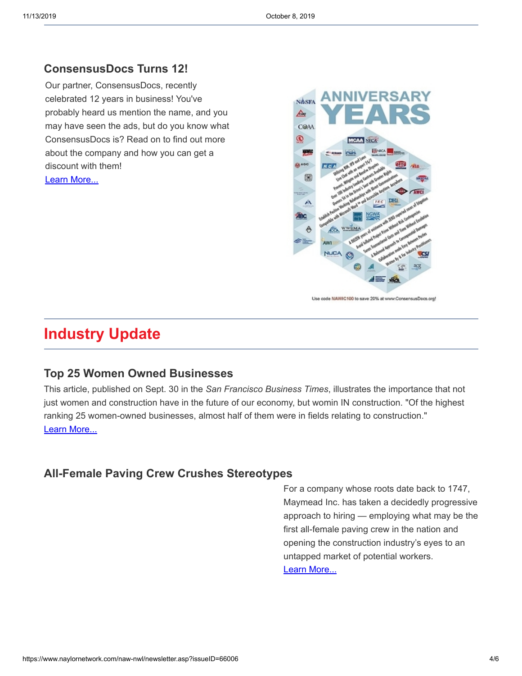### **[ConsensusDocs Turns 12!](https://www.naylornetwork.com/naw-nwl/articles/index.asp?aid=583756&issueID=66006)**

Our partner, ConsensusDocs, recently celebrated 12 years in business! You've probably heard us mention the name, and you may have seen the ads, but do you know what ConsensusDocs is? Read on to find out more about the company and how you can get a discount with them! [Learn More...](https://www.naylornetwork.com/naw-nwl/articles/index.asp?aid=583756&issueID=66006)



## **Industry Update**

### **[Top 25 Women Owned Businesses](https://www.bizjournals.com/sanfrancisco/news/2019/09/30/construction-leads-the-market-for-women-owned.html?ana=e_sfbt_bn_editorschoice&fbclid=IwAR3togq7fqTWa2BeaHujDBLhgiB52yMNowx8bqVG7scNmCnj9XRdsZ0KoQs)**

This article, published on Sept. 30 in the *San Francisco Business Times*, illustrates the importance that not just women and construction have in the future of our economy, but womin IN construction. "Of the highest ranking 25 women-owned businesses, almost half of them were in fields relating to construction." [Learn More...](https://www.bizjournals.com/sanfrancisco/news/2019/09/30/construction-leads-the-market-for-women-owned.html?ana=e_sfbt_bn_editorschoice&fbclid=IwAR3togq7fqTWa2BeaHujDBLhgiB52yMNowx8bqVG7scNmCnj9XRdsZ0KoQs)

### **[All-Female Paving Crew Crushes Stereotypes](https://www.cat.com/en_US/articles/customer-stories/brand/Maymead.html?utm_content=Brand_MR_Educational_AlwaysOn&utm_source=twitter_CaterpillarInc&utm_medium=social&utm_campaign=Maymead&utm_term=Maymead-MainVideo-30sec#sf109280395)**

 For a company whose roots date back to 1747, Maymead Inc. has taken a decidedly progressive approach to hiring — employing what may be the first all-female paving crew in the nation and opening the construction industry's eyes to an untapped market of potential workers. [Learn More...](https://www.cat.com/en_US/articles/customer-stories/brand/Maymead.html?utm_content=Brand_MR_Educational_AlwaysOn&utm_source=twitter_CaterpillarInc&utm_medium=social&utm_campaign=Maymead&utm_term=Maymead-MainVideo-30sec#sf109280395)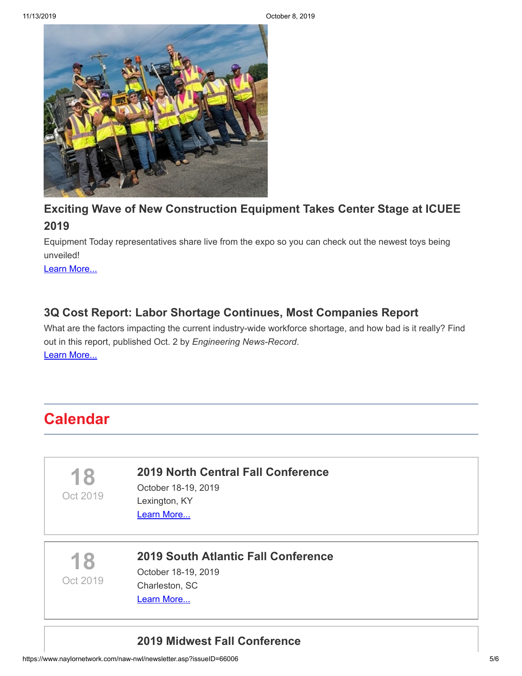

### **[Exciting Wave of New Construction Equipment Takes Center Stage at ICUEE](https://www.forconstructionpros.com/equipment/article/21089951/exciting-wave-of-new-construction-equipment-takes-center-stage-at-icuee-2019) 2019**

Equipment Today representatives share live from the expo so you can check out the newest toys being unveiled!

[Learn More...](https://www.forconstructionpros.com/equipment/article/21089951/exciting-wave-of-new-construction-equipment-takes-center-stage-at-icuee-2019)

### **[3Q Cost Report: Labor Shortage Continues, Most Companies Report](https://www.enr.com/articles/47718-q-cost-report-labor-shortage-continues-most-companies-report)**

What are the factors impacting the current industry-wide workforce shortage, and how bad is it really? Find out in this report, published Oct. 2 by *Engineering News-Record*. [Learn More...](https://www.enr.com/articles/47718-q-cost-report-labor-shortage-continues-most-companies-report)

## **Calendar**

**18**

Oct 2019

#### **[2019 North Central Fall Conference](https://ritabrown001.wixsite.com/nawicncfc)**

October 18-19, 2019 Lexington, KY

[Learn More...](https://ritabrown001.wixsite.com/nawicncfc)

**18** Oct 2019

#### **[2019 South Atlantic Fall Conference](http://www.nawicsa.org/fall-planning-conference/)**

October 18-19, 2019 Charleston, SC [Learn More...](http://www.nawicsa.org/fall-planning-conference/)

### **[2019 Midwest Fall Conference](https://www.nawicmidwestregion.org/2019-fall-conference.html)**